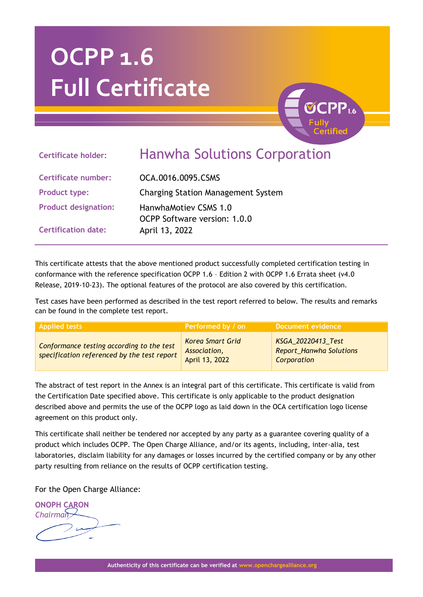# **OCPP 1.6 Full Certificate**



## **Certificate holder:** Hanwha Solutions Corporation

**Certificate number:** OCA.0016.0095.CSMS **Product type:** Charging Station Management System **Product designation:** HanwhaMotiev CSMS 1.0 OCPP Software version: 1.0.0 **Certification date:** April 13, 2022

This certificate attests that the above mentioned product successfully completed certification testing in conformance with the reference specification OCPP 1.6 – Edition 2 with OCPP 1.6 Errata sheet (v4.0 Release, 2019-10-23). The optional features of the protocol are also covered by this certification.

Test cases have been performed as described in the test report referred to below. The results and remarks can be found in the complete test report.

| <b>Applied tests</b>                                                                     | Performed by / on                                         | Document evidence                                            |
|------------------------------------------------------------------------------------------|-----------------------------------------------------------|--------------------------------------------------------------|
| Conformance testing according to the test<br>specification referenced by the test report | <b>Korea Smart Grid</b><br>Association,<br>April 13, 2022 | KSGA_20220413_Test<br>Report_Hanwha Solutions<br>Corporation |

The abstract of test report in the Annex is an integral part of this certificate. This certificate is valid from the Certification Date specified above. This certificate is only applicable to the product designation described above and permits the use of the OCPP logo as laid down in the OCA certification logo license agreement on this product only.

This certificate shall neither be tendered nor accepted by any party as a guarantee covering quality of a product which includes OCPP. The Open Charge Alliance, and/or its agents, including, inter-alia, test laboratories, disclaim liability for any damages or losses incurred by the certified company or by any other party resulting from reliance on the results of OCPP certification testing.

For the Open Charge Alliance:

**ONOPH CARON** *Chairman*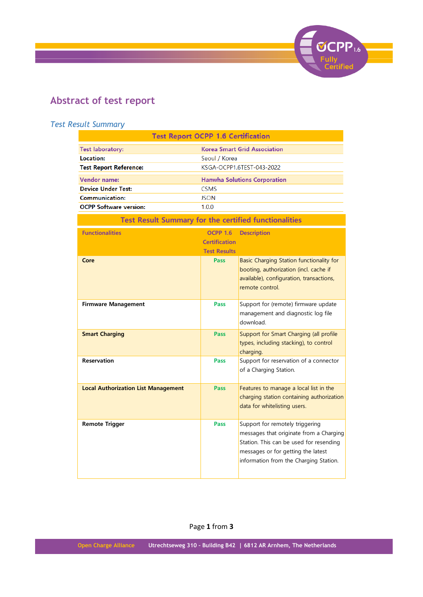

### **Abstract of test report**

#### *Test Result Summary*

| <b>Test Report OCPP 1.6 Certification</b>                    |                                     |                                                                                                                                                                                                       |  |
|--------------------------------------------------------------|-------------------------------------|-------------------------------------------------------------------------------------------------------------------------------------------------------------------------------------------------------|--|
| <b>Test laboratory:</b>                                      | <b>Korea Smart Grid Association</b> |                                                                                                                                                                                                       |  |
| Location:                                                    | Seoul / Korea                       |                                                                                                                                                                                                       |  |
| <b>Test Report Reference:</b>                                |                                     | KSGA-OCPP1.6TEST-043-2022                                                                                                                                                                             |  |
| Vendor name:                                                 |                                     | <b>Hanwha Solutions Corporation</b>                                                                                                                                                                   |  |
| <b>Device Under Test:</b>                                    | <b>CSMS</b>                         |                                                                                                                                                                                                       |  |
| <b>Communication:</b>                                        | <b>JSON</b>                         |                                                                                                                                                                                                       |  |
| <b>OCPP Software version:</b>                                | 1.0.0                               |                                                                                                                                                                                                       |  |
| <b>Test Result Summary for the certified functionalities</b> |                                     |                                                                                                                                                                                                       |  |
| <b>Functionalities</b>                                       | <b>OCPP 1.6</b>                     | <b>Description</b>                                                                                                                                                                                    |  |
|                                                              | <b>Certification</b>                |                                                                                                                                                                                                       |  |
|                                                              | <b>Test Results</b>                 |                                                                                                                                                                                                       |  |
| Core                                                         | Pass                                | Basic Charging Station functionality for<br>booting, authorization (incl. cache if<br>available), configuration, transactions,<br>remote control.                                                     |  |
| <b>Firmware Management</b>                                   | Pass                                | Support for (remote) firmware update<br>management and diagnostic log file<br>download.                                                                                                               |  |
| <b>Smart Charging</b>                                        | Pass                                | Support for Smart Charging (all profile<br>types, including stacking), to control<br>charging.                                                                                                        |  |
| <b>Reservation</b>                                           | Pass                                | Support for reservation of a connector<br>of a Charging Station.                                                                                                                                      |  |
| <b>Local Authorization List Management</b>                   | Pass                                | Features to manage a local list in the<br>charging station containing authorization<br>data for whitelisting users.                                                                                   |  |
| <b>Remote Trigger</b>                                        | Pass                                | Support for remotely triggering<br>messages that originate from a Charging<br>Station. This can be used for resending<br>messages or for getting the latest<br>information from the Charging Station. |  |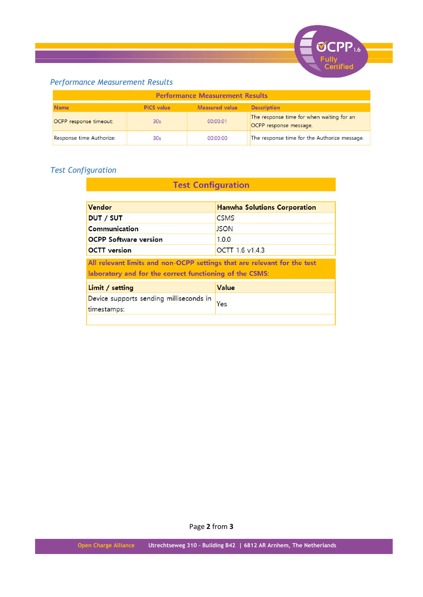

#### *Performance Measurement Results*

| <b>Performance Measurement Results</b> |                   |                       |                                                                     |
|----------------------------------------|-------------------|-----------------------|---------------------------------------------------------------------|
| <b>Name</b>                            | <b>PICS</b> value | <b>Measured value</b> | <b>Description</b>                                                  |
| OCPP response timeout:                 | 30s               | 00:00:01              | The response time for when waiting for an<br>OCPP response message. |
| Response time Authorize:               | 30 <sub>s</sub>   | 00:00:00              | The response time for the Authorize message.                        |

**Test Configuration** 

#### *Test Configuration*

| Vendor                                                                                                                              | <b>Hanwha Solutions Corporation</b> |
|-------------------------------------------------------------------------------------------------------------------------------------|-------------------------------------|
| <b>DUT / SUT</b>                                                                                                                    | <b>CSMS</b>                         |
| Communication                                                                                                                       | <b>JSON</b>                         |
| <b>OCPP Software version</b>                                                                                                        | 1.0.0                               |
| <b>OCTT</b> version                                                                                                                 | OCTT 1.6 v1.4.3                     |
| All relevant limits and non-OCPP settings that are relevant for the test<br>laboratory and for the correct functioning of the CSMS: |                                     |
| Limit / setting                                                                                                                     | Value                               |
| Device supports sending milliseconds in<br>timestamps:                                                                              | Yes                                 |
|                                                                                                                                     |                                     |

Page **2** from **3**